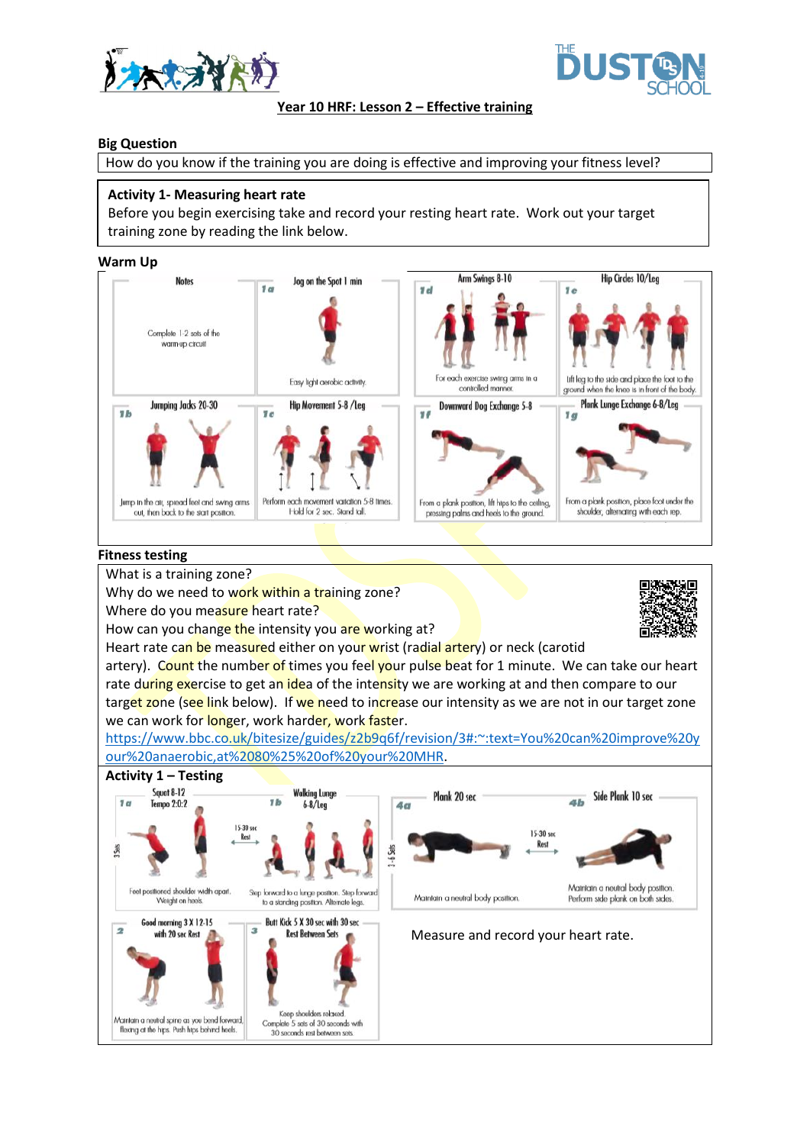



## **Year 10 HRF: Lesson 2 – Effective training**

### **Big Question**

How do you know if the training you are doing is effective and improving your fitness level?

## **Activity 1- Measuring heart rate**

Before you begin exercising take and record your resting heart rate. Work out your target training zone by reading the link below.

**Warm Up**



#### **Fitness testing**

What is a training zone?

Why do we need to work within a training zone?

Where do you measure heart rate?

How can you change the intensity you are working at?

Heart rate can be measured either on your wrist (radial artery) or neck (carotid



artery). Count the number of times you feel your pulse beat for 1 minute. We can take our heart rate during exercise to get an idea of the intensity we are working at and then compare to our target zone (see link below). If we need to increase our intensity as we are not in our target zone we can work for longer, work harder, work faster.

[https://www.bbc.co.uk/bitesize/guides/z2b9q6f/revision/3#:~:text=You%20can%20improve%20y](https://www.bbc.co.uk/bitesize/guides/z2b9q6f/revision/3#:~:text=You%20can%20improve%20your%20anaerobic,at%2080%25%20of%20your%20MHR) [our%20anaerobic,at%2080%25%20of%20your%20MHR.](https://www.bbc.co.uk/bitesize/guides/z2b9q6f/revision/3#:~:text=You%20can%20improve%20your%20anaerobic,at%2080%25%20of%20your%20MHR)